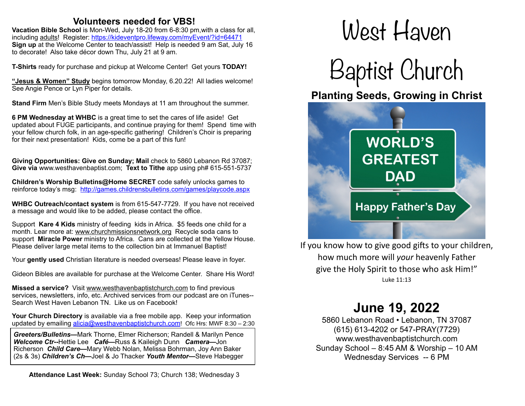### **Volunteers needed for VBS!**

**Vacation Bible School** is Mon-Wed, July 18-20 from 6-8:30 pm,with a class for all, including adults! Register:<https://kideventpro.lifeway.com/myEvent/?id=64471> **Sign up** at the Welcome Center to teach/assist! Help is needed 9 am Sat, July 16 to decorate! Also take décor down Thu, July 21 at 9 am.

**T-Shirts** ready for purchase and pickup at Welcome Center! Get yours **TODAY!**

**"Jesus & Women" Study** begins tomorrow Monday, 6.20.22! All ladies welcome! See Angie Pence or Lyn Piper for details.

**Stand Firm** Men's Bible Study meets Mondays at 11 am throughout the summer.

**6 PM Wednesday at WHBC** is a great time to set the cares of life aside! Get updated about FUGE participants, and continue praying for them! Spend time with your fellow church folk, in an age-specific gathering! Children's Choir is preparing for their next presentation! Kids, come be a part of this fun!

**Giving Opportunities: Give on Sunday; Mail** check to 5860 Lebanon Rd 37087; **Give via** [www.westhavenbaptist.com;](http://www.westhavenbaptist.com) **Text to Tithe** app using ph# 615-551-5737

**Children's Worship Bulletins@Home SECRET** code safely unlocks games to reinforce today's msg: http://games.childrensbulletins.com/games/playcode.aspx

**WHBC Outreach/contact system** is from 615-547-7729. If you have not received a message and would like to be added, please contact the office.

Support **Kare 4 Kids** ministry of feeding kids in Africa. \$5 feeds one child for a month. Lear more at: [www.churchmissionsnetwork.org](http://www.churchmissionsnetwork.org) Recycle soda cans to support **Miracle Power** ministry to Africa. Cans are collected at the Yellow House. Please deliver large metal items to the collection bin at Immanuel Baptist!

Your **gently used** Christian literature is needed overseas! Please leave in foyer.

Gideon Bibles are available for purchase at the Welcome Center. Share His Word!

**Missed a service?** Visit [www.westhavenbaptistchurch.com](http://www.westhavenbaptistchurch.com) to find previous services, newsletters, info, etc. Archived services from our podcast are on iTunes-- Search West Haven Lebanon TN Like us on Facebook!

**Your Church Directory** is available via a free mobile app. Keep your information updated by emailing [alicia@westhavenbaptistchurch.com](mailto:alicia@westhavenbaptistchurch.com)! Ofc Hrs: MWF 8:30 - 2:30

*Greeters/Bulletins—*Mark Thorne, Elmer Richerson; Randell & Marilyn Pence *Welcome Ctr--*Hettie Lee *Café—*Russ & Kaileigh Dunn *Camera—*Jon Richerson *Child Care—*Mary Webb Nolan, Melissa Bohrman, Joy Ann Baker (2s & 3s) *Children's Ch—*Joel & Jo Thacker *Youth Mentor—*Steve Habegger

**Attendance Last Week:** Sunday School 73; Church 138; Wednesday 3

# West Haven Baptist Church

# **Planting Seeds, Growing in Christ**



If you know how to give good gifts to your children, how much more will *your* heavenly Father give the Holy Spirit to those who ask Him!" [Luke 11:13](https://www.biblegateway.com/passage/?search=Luke%252011:13&version=NKJV)

# **June 19, 2022**

5860 Lebanon Road • Lebanon, TN 37087 (615) 613-4202 or 547-PRAY(7729) www.westhavenbaptistchurch.com Sunday School – 8:45 AM & Worship – 10 AM Wednesday Services -- 6 PM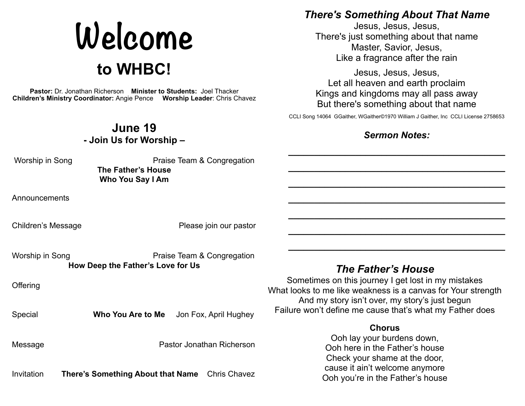# **Welcome to WHBC!**

**Pastor:** Dr. Jonathan Richerson **Minister to Students:** Joel Thacker **Children's Ministry Coordinator:** Angie Pence **Worship Leader**: Chris Chavez

# **June 19 - Join Us for Worship –**

### *There's Something About That Name*

Jesus, Jesus, Jesus, There's just something about that name Master, Savior, Jesus, Like a fragrance after the rain

Jesus, Jesus, Jesus, Let all heaven and earth proclaim Kings and kingdoms may all pass away But there's something about that name

CCLI Song 14064 GGaither, WGaither©1970 William J Gaither, Inc CCLI License 2758653

### *Sermon Notes:*

*\_\_\_\_\_\_\_\_\_\_\_\_\_\_\_\_\_\_\_\_\_\_\_\_\_\_\_\_\_\_\_\_\_\_\_\_\_\_\_\_\_\_*

*\_\_\_\_\_\_\_\_\_\_\_\_\_\_\_\_\_\_\_\_\_\_\_\_\_\_\_\_\_\_\_\_\_\_\_\_\_\_\_\_\_\_*

*\_\_\_\_\_\_\_\_\_\_\_\_\_\_\_\_\_\_\_\_\_\_\_\_\_\_\_\_\_\_\_\_\_\_\_\_\_\_\_\_\_\_*

*\_\_\_\_\_\_\_\_\_\_\_\_\_\_\_\_\_\_\_\_\_\_\_\_\_\_\_\_\_\_\_\_\_\_\_\_\_\_\_\_\_\_*

*\_\_\_\_\_\_\_\_\_\_\_\_\_\_\_\_\_\_\_\_\_\_\_\_\_\_\_\_\_\_\_\_\_\_\_\_\_\_\_\_\_\_*

*\_\_\_\_\_\_\_\_\_\_\_\_\_\_\_\_\_\_\_\_\_\_\_\_\_\_\_\_\_\_\_\_\_\_\_\_\_\_\_\_\_\_*

*\_\_\_\_\_\_\_\_\_\_\_\_\_\_\_\_\_\_\_\_\_\_\_\_\_\_\_\_\_\_\_\_\_\_\_\_\_\_\_\_\_\_*

Worship in Song **Praise Team & Congregation The Father's House Who You Say I Am**

Announcements

Children's Message **Please** ioin our pastor

Worship in Song **Praise Team & Congregation How Deep the Father's Love for Us**

Special **Who You Are to Me** Jon Fox, April Hughey

Message **Pastor Jonathan Richerson** 

Invitation **There's Something About that Name** Chris Chavez

**Offering** 

# *The Father's House*

Sometimes on this journey I get lost in my mistakes What looks to me like weakness is a canvas for Your strength And my story isn't over, my story's just begun Failure won't define me cause that's what my Father does

#### **Chorus**

Ooh lay your burdens down, Ooh here in the Father's house Check your shame at the door, cause it ain't welcome anymore Ooh you're in the Father's house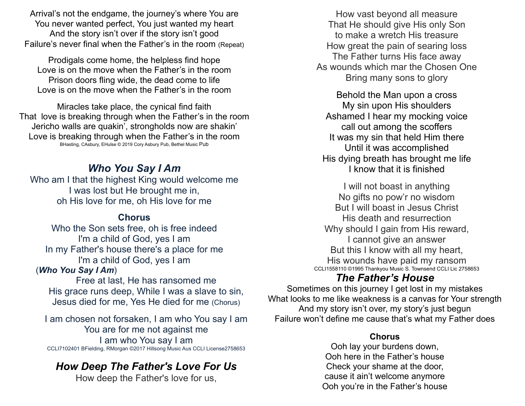Arrival's not the endgame, the journey's where You are You never wanted perfect, You just wanted my heart And the story isn't over if the story isn't good Failure's never final when the Father's in the room (Repeat)

Prodigals come home, the helpless find hope Love is on the move when the Father's in the room Prison doors fling wide, the dead come to life Love is on the move when the Father's in the room

Miracles take place, the cynical find faith That love is breaking through when the Father's in the room Jericho walls are quakin', strongholds now are shakin' Love is breaking through when the Father's in the room BHasting, CAsbury, EHulse © 2019 Cory Asbury Pub, Bethel Music Pub

# *Who You Say I Am*

Who am I that the highest King would welcome me I was lost but He brought me in, oh His love for me, oh His love for me

### **Chorus**

Who the Son sets free, oh is free indeed I'm a child of God, yes I am In my Father's house there's a place for me I'm a child of God, yes I am

#### (*Who You Say I Am*)

Free at last, He has ransomed me His grace runs deep, While I was a slave to sin, Jesus died for me, Yes He died for me (Chorus)

I am chosen not forsaken, I am who You say I am You are for me not against me I am who You say I am CCLI7102401 BFielding, RMorgan ©2017 Hillsong Music Aus CCLI License2758653

# *How Deep The Father's Love For Us*

How deep the Father's love for us,

How vast beyond all measure That He should give His only Son to make a wretch His treasure How great the pain of searing loss The Father turns His face away As wounds which mar the Chosen One Bring many sons to glory

Behold the Man upon a cross My sin upon His shoulders Ashamed I hear my mocking voice call out among the scoffers It was my sin that held Him there Until it was accomplished His dying breath has brought me life I know that it is finished

I will not boast in anything No gifts no pow'r no wisdom But I will boast in Jesus Christ His death and resurrection Why should I gain from His reward, I cannot give an answer But this I know with all my heart, His wounds have paid my ransom CCLI1558110 ©1995 Thankyou Music S. Townsend CCLI Lic 2758653

# *The Father's House*

Sometimes on this journey I get lost in my mistakes What looks to me like weakness is a canvas for Your strength And my story isn't over, my story's just begun Failure won't define me cause that's what my Father does

#### **Chorus**

Ooh lay your burdens down, Ooh here in the Father's house Check your shame at the door, cause it ain't welcome anymore Ooh you're in the Father's house